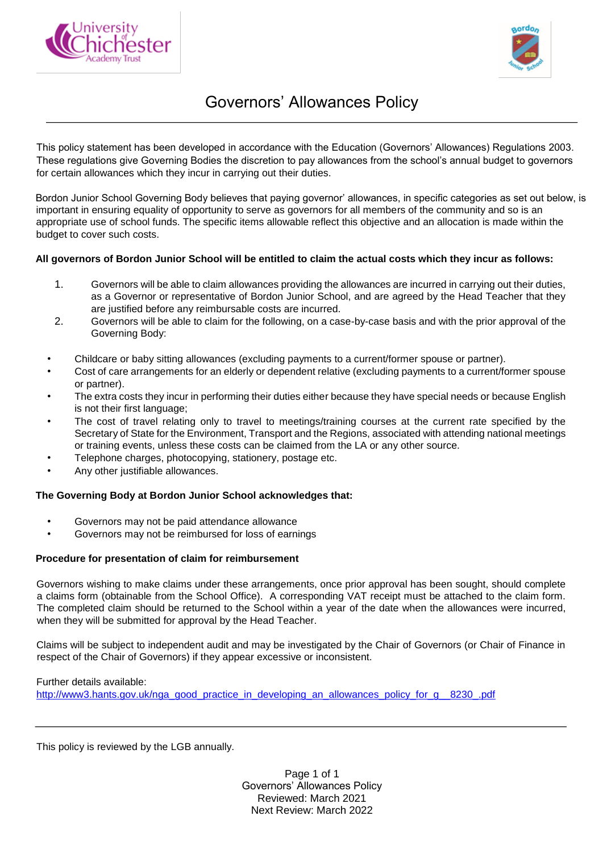



## Governors' Allowances Policy

This policy statement has been developed in accordance with the Education (Governors' Allowances) Regulations 2003. These regulations give Governing Bodies the discretion to pay allowances from the school's annual budget to governors for certain allowances which they incur in carrying out their duties.

Bordon Junior School Governing Body believes that paying governor' allowances, in specific categories as set out below, is important in ensuring equality of opportunity to serve as governors for all members of the community and so is an appropriate use of school funds. The specific items allowable reflect this objective and an allocation is made within the budget to cover such costs.

## **All governors of Bordon Junior School will be entitled to claim the actual costs which they incur as follows:**

- 1. Governors will be able to claim allowances providing the allowances are incurred in carrying out their duties, as a Governor or representative of Bordon Junior School, and are agreed by the Head Teacher that they are justified before any reimbursable costs are incurred.
- 2. Governors will be able to claim for the following, on a case-by-case basis and with the prior approval of the Governing Body:
- Childcare or baby sitting allowances (excluding payments to a current/former spouse or partner).
- Cost of care arrangements for an elderly or dependent relative (excluding payments to a current/former spouse or partner).
- The extra costs they incur in performing their duties either because they have special needs or because English is not their first language;
- The cost of travel relating only to travel to meetings/training courses at the current rate specified by the Secretary of State for the Environment, Transport and the Regions, associated with attending national meetings or training events, unless these costs can be claimed from the LA or any other source.
- Telephone charges, photocopying, stationery, postage etc.
- Any other justifiable allowances.

## **The Governing Body at Bordon Junior School acknowledges that:**

- Governors may not be paid attendance allowance
- Governors may not be reimbursed for loss of earnings

## **Procedure for presentation of claim for reimbursement**

Governors wishing to make claims under these arrangements, once prior approval has been sought, should complete a claims form (obtainable from the School Office). A corresponding VAT receipt must be attached to the claim form. The completed claim should be returned to the School within a year of the date when the allowances were incurred, when they will be submitted for approval by the Head Teacher.

Claims will be subject to independent audit and may be investigated by the Chair of Governors (or Chair of Finance in respect of the Chair of Governors) if they appear excessive or inconsistent.

Further details available: [http://www3.hants.gov.uk/nga\\_good\\_practice\\_in\\_developing\\_an\\_allowances\\_policy\\_for\\_g\\_\\_8230\\_.pdf](http://www3.hants.gov.uk/nga_good_practice_in_developing_an_allowances_policy_for_g__8230_.pdf)

This policy is reviewed by the LGB annually.

Page 1 of 1 Governors' Allowances Policy Reviewed: March 2021 Next Review: March 2022